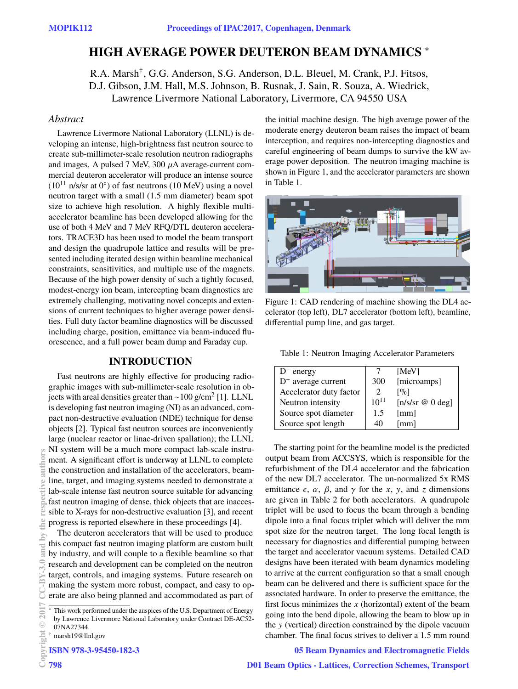# **HIGH AVERAGE POWER DEUTERON BEAM DYNAMICS** <sup>∗</sup>

R.A. Marsh† , G.G. Anderson, S.G. Anderson, D.L. Bleuel, M. Crank, P.J. Fitsos, D.J. Gibson, J.M. Hall, M.S. Johnson, B. Rusnak, J. Sain, R. Souza, A. Wiedrick, Lawrence Livermore National Laboratory, Livermore, CA 94550 USA

#### *Abstract*

Lawrence Livermore National Laboratory (LLNL) is developing an intense, high-brightness fast neutron source to create sub-millimeter-scale resolution neutron radiographs and images. A pulsed 7 MeV,  $300 \mu A$  average-current commercial deuteron accelerator will produce an intense source  $(10^{11}$  n/s/sr at 0°) of fast neutrons  $(10 \text{ MeV})$  using a novel neutron target with a small (1.5 mm diameter) beam spot size to achieve high resolution. A highly flexible multiaccelerator beamline has been developed allowing for the use of both 4 MeV and 7 MeV RFQ/DTL deuteron accelerators. TRACE3D has been used to model the beam transport and design the quadrupole lattice and results will be presented including iterated design within beamline mechanical constraints, sensitivities, and multiple use of the magnets. Because of the high power density of such a tightly focused, modest-energy ion beam, intercepting beam diagnostics are extremely challenging, motivating novel concepts and extensions of current techniques to higher average power densities. Full duty factor beamline diagnostics will be discussed including charge, position, emittance via beam-induced fluorescence, and a full power beam dump and Faraday cup.

#### **INTRODUCTION**

Fast neutrons are highly effective for producing radiographic images with sub-millimeter-scale resolution in objects with areal densities greater than ~100 g/cm $^2$  [1]. LLNL is developing fast neutron imaging (NI) as an advanced, compact non-destructive evaluation (NDE) technique for dense objects [2]. Typical fast neutron sources are inconveniently large (nuclear reactor or linac-driven spallation); the LLNL NI system will be a much more compact lab-scale instrument. A significant effort is underway at LLNL to complete the construction and installation of the accelerators, beamline, target, and imaging systems needed to demonstrate a lab-scale intense fast neutron source suitable for advancing fast neutron imaging of dense, thick objects that are inaccessible to X-rays for non-destructive evaluation [3], and recent progress is reported elsewhere in these proceedings [4].

The deuteron accelerators that will be used to produce this compact fast neutron imaging platform are custom built by industry, and will couple to a flexible beamline so that research and development can be completed on the neutron target, controls, and imaging systems. Future research on making the system more robust, compact, and easy to operate are also being planned and accommodated as part of

† marsh19@llnl.gov

**ISBN 978-3-95450-182-3**

the initial machine design. The high average power of the moderate energy deuteron beam raises the impact of beam interception, and requires non-intercepting diagnostics and careful engineering of beam dumps to survive the kW average power deposition. The neutron imaging machine is shown in Figure 1, and the accelerator parameters are shown in Table 1.



Figure 1: CAD rendering of machine showing the DL4 accelerator (top left), DL7 accelerator (bottom left), beamline, differential pump line, and gas target.

Table 1: Neutron Imaging Accelerator Parameters

| $D^+$ energy            |           | [MeV]                    |
|-------------------------|-----------|--------------------------|
| $D^+$ average current   | 300       | [microamps]              |
| Accelerator duty factor |           | $\lceil \% \rceil$       |
| Neutron intensity       | $10^{11}$ | $[n/s/sr \otimes 0 deg]$ |
| Source spot diameter    | 1.5       | [mm]                     |
| Source spot length      |           | [mm]                     |

The starting point for the beamline model is the predicted output beam from ACCSYS, which is responsible for the refurbishment of the DL4 accelerator and the fabrication of the new DL7 accelerator. The un-normalized 5x RMS emittance  $\epsilon$ ,  $\alpha$ ,  $\beta$ , and  $\gamma$  for the *x*, *y*, and *z* dimensions are given in Table 2 for both accelerators. A quadrupole triplet will be used to focus the beam through a bending dipole into a final focus triplet which will deliver the mm spot size for the neutron target. The long focal length is necessary for diagnostics and differential pumping between the target and accelerator vacuum systems. Detailed CAD designs have been iterated with beam dynamics modeling to arrive at the current configuration so that a small enough beam can be delivered and there is sufficient space for the associated hardware. In order to preserve the emittance, the first focus minimizes the *x* (horizontal) extent of the beam going into the bend dipole, allowing the beam to blow up in the y (vertical) direction constrained by the dipole vacuum chamber. The final focus strives to deliver a 1.5 mm round

#### **05 Beam Dynamics and Electromagnetic Fields**

This work performed under the auspices of the U.S. Department of Energy by Lawrence Livermore National Laboratory under Contract DE-AC52- 07NA27344.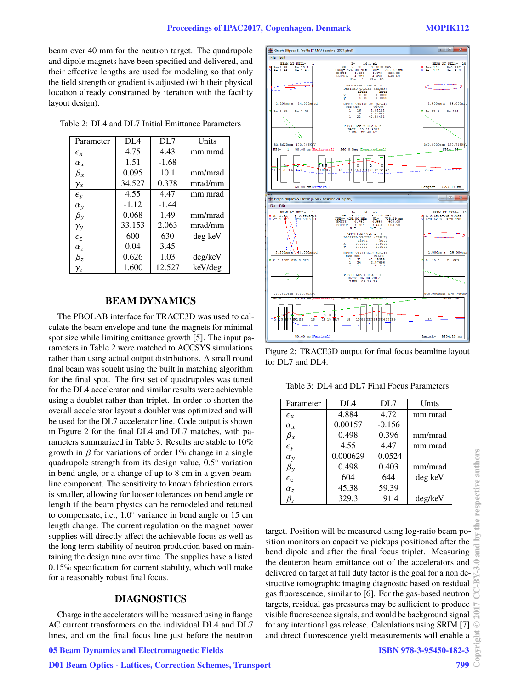beam over 40 mm for the neutron target. The quadrupole and dipole magnets have been specified and delivered, and their effective lengths are used for modeling so that only the field strength or gradient is adjusted (with their physical location already constrained by iteration with the facility layout design).

Table 2: DL4 and DL7 Initial Emittance Parameters

| 4.75    | 4.43    | mm mrad |
|---------|---------|---------|
| 1.51    | $-1.68$ |         |
| 0.095   | 10.1    | mm/mrad |
| 34.527  | 0.378   | mrad/mm |
| 4.55    | 4.47    | mm mrad |
| $-1.12$ | $-1.44$ |         |
| 0.068   | 1.49    | mm/mrad |
| 33.153  | 2.063   | mrad/mm |
| 600     | 630     | deg keV |
| 0.04    | 3.45    |         |
| 0.626   | 1.03    | deg/keV |
| 1.600   | 12.527  | keV/deg |
|         |         |         |

#### **BEAM DYNAMICS**

The PBOLAB interface for TRACE3D was used to calculate the beam envelope and tune the magnets for minimal spot size while limiting emittance growth [5]. The input parameters in Table 2 were matched to ACCSYS simulations rather than using actual output distributions. A small round final beam was sought using the built in matching algorithm for the final spot. The first set of quadrupoles was tuned for the DL4 accelerator and similar results were achievable using a doublet rather than triplet. In order to shorten the overall accelerator layout a doublet was optimized and will be used for the DL7 accelerator line. Code output is shown in Figure 2 for the final DL4 and DL7 matches, with parameters summarized in Table 3. Results are stable to 10% growth in  $\beta$  for variations of order 1% change in a single quadrupole strength from its design value, 0.5◦ variation in bend angle, or a change of up to 8 cm in a given beamline component. The sensitivity to known fabrication errors is smaller, allowing for looser tolerances on bend angle or length if the beam physics can be remodeled and retuned to compensate, i.e., 1.0◦ variance in bend angle or 15 cm length change. The current regulation on the magnet power supplies will directly affect the achievable focus as well as the long term stability of neutron production based on maintaining the design tune over time. The supplies have a listed 0.15% specification for current stability, which will make for a reasonably robust final focus.

### **DIAGNOSTICS**

Charge in the accelerators will be measured using in flange AC current transformers on the individual DL4 and DL7 lines, and on the final focus line just before the neutron

atio<br>0.5000<br>0.5000  $25.0$  $(NC =$  $= 0.400E$  $1B=0.62$  $-1.18358$ <br>2.57696<br>-1.01583  $A = 45.4$  $B = 329$  $\frac{21}{24}$ ss.s62D 170.749K 170.749 Length=  $8204.20$  mm

beta<br>0.1000<br>0.1000

Figure 2: TRACE3D output for final focus beamline layout for  $DI.7$  and  $DI.4$ .

Table 3: DL4 and DL7 Final Focus Parameters

| Parameter        | DL4      | DL7       | Units   |
|------------------|----------|-----------|---------|
| $\epsilon_{r}$   | 4.884    | 4.72      | mm mrad |
| $\alpha_{r}$     | 0.00157  | $-0.156$  |         |
| $\beta_x$        | 0.498    | 0.396     | mm/mrad |
| $\epsilon_{v}$   | 4.55     | 4.47      | mm mrad |
| $\alpha_{\rm v}$ | 0.000629 | $-0.0524$ |         |
| $\beta_{\rm y}$  | 0.498    | 0.403     | mm/mrad |
| $\epsilon_{z}$   | 604      | 644       | deg keV |
| $\alpha_z$       | 45.38    | 59.39     |         |
| $\beta_{z}$      | 329.3    | 191.4     | deg/keV |

target. Position will be measured using log-ratio beam position monitors on capacitive pickups positioned after the bend dipole and after the final focus triplet. Measuring the deuteron beam emittance out of the accelerators and delivered on target at full duty factor is the goal for a non destructive tomographic imaging diagnostic based on residual gas fluorescence, similar to [6]. For the gas-based neutron targets, residual gas pressures may be sufficient to produce visible fluorescence signals, and would be background signal for any intentional gas release. Calculations using SRIM [7] and direct fluorescence yield measurements will enable a

File Edit BEAM AT NEL1-<br>
H A=-1.68 B= 10<br>
W A=-1.44 B= 1.

2.200mm

53.562Deg**x** 

 $\lambda = 3.45$ 

**Same Search Ellipses & Profile 17 MeV baseline 2017.pboll** 

 $14.000m$ 

 $R = 1.03$ 

170.749K

Graph Ellipses & Profile [4 MeV baseline 2016.pbol]

**©**

**2017 CC-BY-3.0 and by the respective authors**

the  $\geq$ 

respective authors

**SEAM AT NEL2=<br>101 B=0.397**<br>102 B=0.400

 $25.00$ 

 $R = 191$ 

170.749K

 $\begin{array}{c|c|c|c|c} \hline \multicolumn{1}{c|}{\textbf{0}} & \multicolumn{1}{c|}{\textbf{0}} \\ \hline \multicolumn{1}{c|}{\textbf{0}} & \multicolumn{1}{c|}{\textbf{0}} \\ \hline \multicolumn{1}{c|}{\textbf{0}} & \multicolumn{1}{c|}{\textbf{0}} \\ \hline \multicolumn{1}{c|}{\textbf{0}} & \multicolumn{1}{c|}{\textbf{0}} \\ \hline \multicolumn{1}{c|}{\textbf{0}} & \multicolumn{1}{c|}{\textbf{0}} \\ \hline \multicolumn{1}{c|}{\textbf{0}} &$ 

BEAM AT NEL2=<br>A=0.157E-02B=0.498<br>A=0.629E-03B=0.498

 $1.500m$ 

60.000Deg

 $x = 59.4$